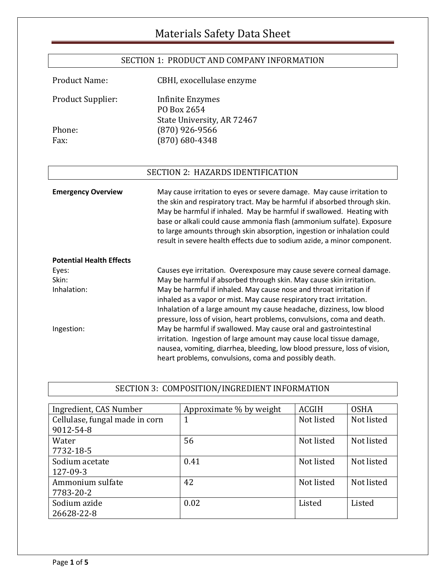## SECTION 1: PRODUCT AND COMPANY INFORMATION

Product Name: CBHI, exocellulase enzyme

| <b>Product Supplier:</b> | Infinite Enzymes           |
|--------------------------|----------------------------|
|                          | PO Box 2654                |
|                          | State University, AR 72467 |
| Phone:                   | $(870)$ 926-9566           |
| Fax:                     | $(870)$ 680-4348           |
|                          |                            |

## SECTION 2: HAZARDS IDENTIFICATION

| <b>Emergency Overview</b>       | May cause irritation to eyes or severe damage. May cause irritation to<br>the skin and respiratory tract. May be harmful if absorbed through skin.<br>May be harmful if inhaled. May be harmful if swallowed. Heating with<br>base or alkali could cause ammonia flash (ammonium sulfate). Exposure<br>to large amounts through skin absorption, ingestion or inhalation could<br>result in severe health effects due to sodium azide, a minor component. |
|---------------------------------|-----------------------------------------------------------------------------------------------------------------------------------------------------------------------------------------------------------------------------------------------------------------------------------------------------------------------------------------------------------------------------------------------------------------------------------------------------------|
| <b>Potential Health Effects</b> |                                                                                                                                                                                                                                                                                                                                                                                                                                                           |
| Eyes:                           | Causes eye irritation. Overexposure may cause severe corneal damage.                                                                                                                                                                                                                                                                                                                                                                                      |
| Skin:                           | May be harmful if absorbed through skin. May cause skin irritation.                                                                                                                                                                                                                                                                                                                                                                                       |
| Inhalation:                     | May be harmful if inhaled. May cause nose and throat irritation if<br>inhaled as a vapor or mist. May cause respiratory tract irritation.                                                                                                                                                                                                                                                                                                                 |
|                                 | Inhalation of a large amount my cause headache, dizziness, low blood<br>pressure, loss of vision, heart problems, convulsions, coma and death.                                                                                                                                                                                                                                                                                                            |
| Ingestion:                      | May be harmful if swallowed. May cause oral and gastrointestinal                                                                                                                                                                                                                                                                                                                                                                                          |
|                                 | irritation. Ingestion of large amount may cause local tissue damage,                                                                                                                                                                                                                                                                                                                                                                                      |
|                                 | nausea, vomiting, diarrhea, bleeding, low blood pressure, loss of vision,                                                                                                                                                                                                                                                                                                                                                                                 |
|                                 | heart problems, convulsions, coma and possibly death.                                                                                                                                                                                                                                                                                                                                                                                                     |

## SECTION 3: COMPOSITION/INGREDIENT INFORMATION

| Ingredient, CAS Number         | Approximate % by weight | <b>ACGIH</b> | <b>OSHA</b> |
|--------------------------------|-------------------------|--------------|-------------|
| Cellulase, fungal made in corn | 1                       | Not listed   | Not listed  |
| 9012-54-8                      |                         |              |             |
| Water                          | 56                      | Not listed   | Not listed  |
| 7732-18-5                      |                         |              |             |
| Sodium acetate                 | 0.41                    | Not listed   | Not listed  |
| 127-09-3                       |                         |              |             |
| Ammonium sulfate               | 42                      | Not listed   | Not listed  |
| 7783-20-2                      |                         |              |             |
| Sodium azide                   | 0.02                    | Listed       | Listed      |
| 26628-22-8                     |                         |              |             |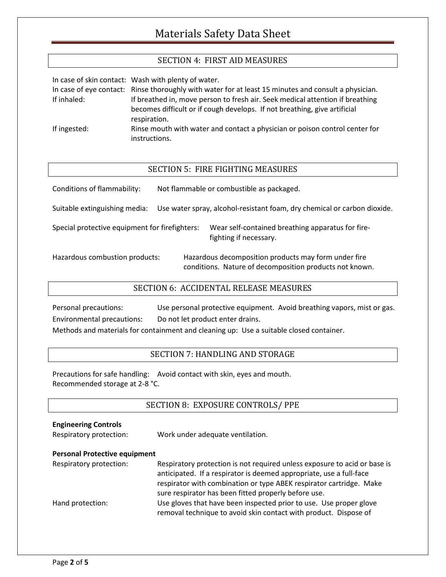## SECTION 4: FIRST AID MEASURES

|              | In case of skin contact: Wash with plenty of water.                                                                                                        |
|--------------|------------------------------------------------------------------------------------------------------------------------------------------------------------|
|              | In case of eye contact: Rinse thoroughly with water for at least 15 minutes and consult a physician.                                                       |
| If inhaled:  | If breathed in, move person to fresh air. Seek medical attention if breathing<br>becomes difficult or if cough develops. If not breathing, give artificial |
|              | respiration.                                                                                                                                               |
| If ingested: | Rinse mouth with water and contact a physician or poison control center for                                                                                |
|              | instructions.                                                                                                                                              |

#### SECTION 5: FIRE FIGHTING MEASURES

| Conditions of flammability: | Not flammable or combustible as packaged. |
|-----------------------------|-------------------------------------------|
|                             |                                           |

Suitable extinguishing media: Use water spray, alcohol-resistant foam, dry chemical or carbon dioxide.

Special protective equipment for firefighters: Wear self-contained breathing apparatus for firefighting if necessary.

Hazardous combustion products: Hazardous decomposition products may form under fire conditions. Nature of decomposition products not known.

### SECTION 6: ACCIDENTAL RELEASE MEASURES

Personal precautions: Use personal protective equipment. Avoid breathing vapors, mist or gas. Environmental precautions: Do not let product enter drains.

Methods and materials for containment and cleaning up: Use a suitable closed container.

### SECTION 7: HANDLING AND STORAGE

Precautions for safe handling: Avoid contact with skin, eyes and mouth. Recommended storage at 2-8 °C.

### SECTION 8: EXPOSURE CONTROLS/ PPE

| <b>Engineering Controls</b><br>Respiratory protection: | Work under adequate ventilation.                                                                                                                                                                                                                                                |
|--------------------------------------------------------|---------------------------------------------------------------------------------------------------------------------------------------------------------------------------------------------------------------------------------------------------------------------------------|
| <b>Personal Protective equipment</b>                   |                                                                                                                                                                                                                                                                                 |
| Respiratory protection:                                | Respiratory protection is not required unless exposure to acid or base is<br>anticipated. If a respirator is deemed appropriate, use a full-face<br>respirator with combination or type ABEK respirator cartridge. Make<br>sure respirator has been fitted properly before use. |
| Hand protection:                                       | Use gloves that have been inspected prior to use. Use proper glove<br>removal technique to avoid skin contact with product. Dispose of                                                                                                                                          |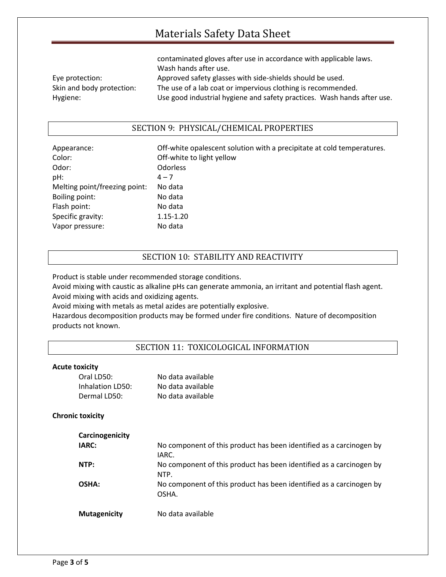|                           | contaminated gloves after use in accordance with applicable laws.       |
|---------------------------|-------------------------------------------------------------------------|
|                           | Wash hands after use.                                                   |
| Eye protection:           | Approved safety glasses with side-shields should be used.               |
| Skin and body protection: | The use of a lab coat or impervious clothing is recommended.            |
| Hygiene:                  | Use good industrial hygiene and safety practices. Wash hands after use. |

### SECTION 9: PHYSICAL/CHEMICAL PROPERTIES

| Appearance:                   | Off-white opalescent solution with a precipitate at cold temperatures. |
|-------------------------------|------------------------------------------------------------------------|
| Color:                        | Off-white to light yellow                                              |
| Odor:                         | <b>Odorless</b>                                                        |
| pH:                           | $4 - 7$                                                                |
| Melting point/freezing point: | No data                                                                |
| Boiling point:                | No data                                                                |
| Flash point:                  | No data                                                                |
| Specific gravity:             | 1.15-1.20                                                              |
| Vapor pressure:               | No data                                                                |

### SECTION 10: STABILITY AND REACTIVITY

Product is stable under recommended storage conditions.

Avoid mixing with caustic as alkaline pHs can generate ammonia, an irritant and potential flash agent. Avoid mixing with acids and oxidizing agents.

Avoid mixing with metals as metal azides are potentially explosive.

Hazardous decomposition products may be formed under fire conditions. Nature of decomposition products not known.

#### SECTION 11: TOXICOLOGICAL INFORMATION

#### **Acute toxicity**

| Oral LD50:       | No data available |
|------------------|-------------------|
| Inhalation LD50: | No data available |
| Dermal LD50:     | No data available |

#### **Chronic toxicity**

| Carcinogenicity     |                                                                              |
|---------------------|------------------------------------------------------------------------------|
| IARC:               | No component of this product has been identified as a carcinogen by<br>IARC. |
| NTP:                | No component of this product has been identified as a carcinogen by<br>NTP.  |
| OSHA:               | No component of this product has been identified as a carcinogen by<br>OSHA. |
| <b>Mutagenicity</b> | No data available                                                            |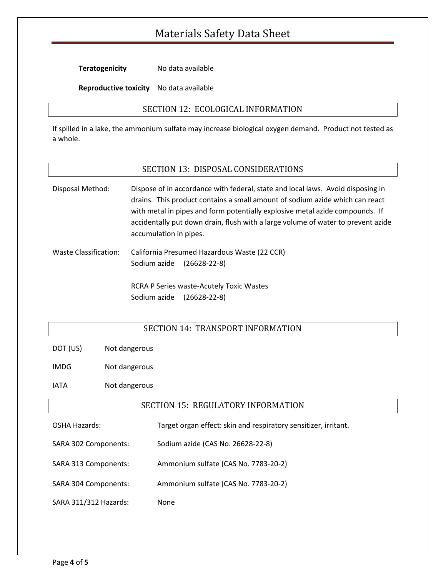**Teratogenicity** No data available

**Reproductive toxicity** No data available

### SECTION 12: ECOLOGICAL INFORMATION

If spilled in a lake, the ammonium sulfate may increase biological oxygen demand. Product not tested as a whole.

#### SECTION 13: DISPOSAL CONSIDERATIONS

Disposal Method: Dispose of in accordance with federal, state and local laws. Avoid disposing in drains. This product contains a small amount of sodium azide which can react with metal in pipes and form potentially explosive metal azide compounds. If accidentally put down drain, flush with a large volume of water to prevent azide accumulation in pipes.

Waste Classification: California Presumed Hazardous Waste (22 CCR) Sodium azide (26628-22-8)

> RCRA P Series waste-Acutely Toxic Wastes Sodium azide (26628-22-8)

### SECTION 14: TRANSPORT INFORMATION

DOT (US) Not dangerous

IMDG Not dangerous

IATA Not dangerous

#### SECTION 15: REGULATORY INFORMATION

| OSHA Hazards:         | Target organ effect: skin and respiratory sensitizer, irritant. |
|-----------------------|-----------------------------------------------------------------|
| SARA 302 Components:  | Sodium azide (CAS No. 26628-22-8)                               |
| SARA 313 Components:  | Ammonium sulfate (CAS No. 7783-20-2)                            |
| SARA 304 Components:  | Ammonium sulfate (CAS No. 7783-20-2)                            |
| SARA 311/312 Hazards: | None                                                            |